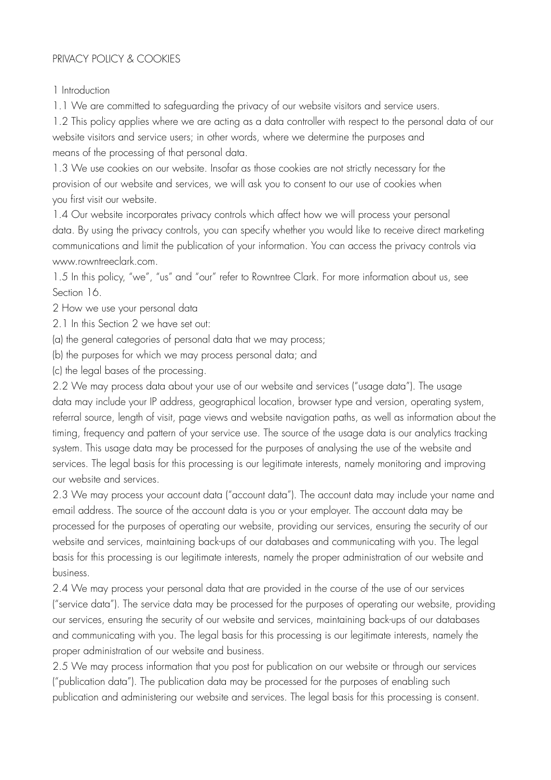## PRIVACY POLICY & COOKIES

1 Introduction

1.1 We are committed to safeguarding the privacy of our website visitors and service users.

1.2 This policy applies where we are acting as a data controller with respect to the personal data of our website visitors and service users; in other words, where we determine the purposes and means of the processing of that personal data.

1.3 We use cookies on our website. Insofar as those cookies are not strictly necessary for the provision of our website and services, we will ask you to consent to our use of cookies when you first visit our website.

1.4 Our website incorporates privacy controls which affect how we will process your personal data. By using the privacy controls, you can specify whether you would like to receive direct marketing communications and limit the publication of your information. You can access the privacy controls via www.rowntreeclark.com.

1.5 In this policy, "we", "us" and "our" refer to Rowntree Clark. For more information about us, see Section 16.

2 How we use your personal data

2.1 In this Section 2 we have set out:

(a) the general categories of personal data that we may process;

(b) the purposes for which we may process personal data; and

(c) the legal bases of the processing.

2.2 We may process data about your use of our website and services ("usage data"). The usage data may include your IP address, geographical location, browser type and version, operating system, referral source, length of visit, page views and website navigation paths, as well as information about the timing, frequency and pattern of your service use. The source of the usage data is our analytics tracking system. This usage data may be processed for the purposes of analysing the use of the website and services. The legal basis for this processing is our legitimate interests, namely monitoring and improving our website and services.

2.3 We may process your account data ("account data"). The account data may include your name and email address. The source of the account data is you or your employer. The account data may be processed for the purposes of operating our website, providing our services, ensuring the security of our website and services, maintaining back-ups of our databases and communicating with you. The legal basis for this processing is our legitimate interests, namely the proper administration of our website and business.

2.4 We may process your personal data that are provided in the course of the use of our services ("service data"). The service data may be processed for the purposes of operating our website, providing our services, ensuring the security of our website and services, maintaining back-ups of our databases and communicating with you. The legal basis for this processing is our legitimate interests, namely the proper administration of our website and business.

2.5 We may process information that you post for publication on our website or through our services ("publication data"). The publication data may be processed for the purposes of enabling such publication and administering our website and services. The legal basis for this processing is consent.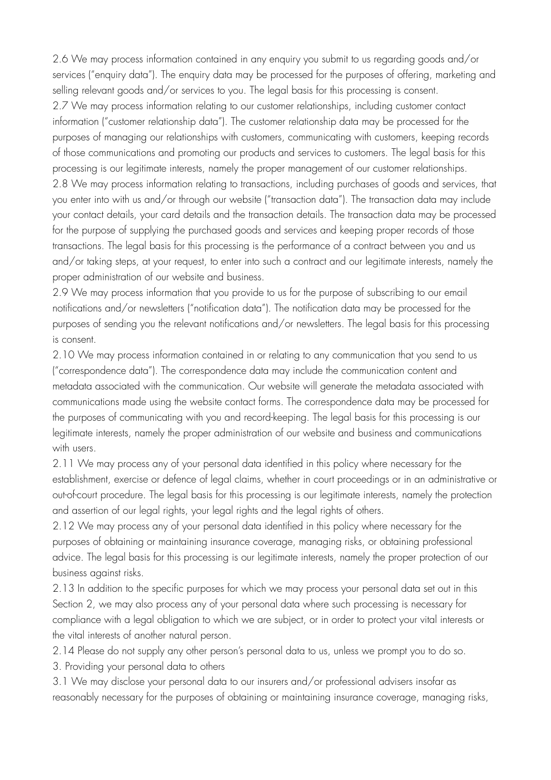2.6 We may process information contained in any enquiry you submit to us regarding goods and/or services ("enquiry data"). The enquiry data may be processed for the purposes of offering, marketing and selling relevant goods and/or services to you. The legal basis for this processing is consent. 2.7 We may process information relating to our customer relationships, including customer contact information ("customer relationship data"). The customer relationship data may be processed for the purposes of managing our relationships with customers, communicating with customers, keeping records of those communications and promoting our products and services to customers. The legal basis for this processing is our legitimate interests, namely the proper management of our customer relationships. 2.8 We may process information relating to transactions, including purchases of goods and services, that you enter into with us and/or through our website ("transaction data"). The transaction data may include your contact details, your card details and the transaction details. The transaction data may be processed for the purpose of supplying the purchased goods and services and keeping proper records of those transactions. The legal basis for this processing is the performance of a contract between you and us and/or taking steps, at your request, to enter into such a contract and our legitimate interests, namely the proper administration of our website and business.

2.9 We may process information that you provide to us for the purpose of subscribing to our email notifications and/or newsletters ("notification data"). The notification data may be processed for the purposes of sending you the relevant notifications and/or newsletters. The legal basis for this processing is consent.

2.10 We may process information contained in or relating to any communication that you send to us ("correspondence data"). The correspondence data may include the communication content and metadata associated with the communication. Our website will generate the metadata associated with communications made using the website contact forms. The correspondence data may be processed for the purposes of communicating with you and record-keeping. The legal basis for this processing is our legitimate interests, namely the proper administration of our website and business and communications with users.

2.11 We may process any of your personal data identified in this policy where necessary for the establishment, exercise or defence of legal claims, whether in court proceedings or in an administrative or out-of-court procedure. The legal basis for this processing is our legitimate interests, namely the protection and assertion of our legal rights, your legal rights and the legal rights of others.

2.12 We may process any of your personal data identified in this policy where necessary for the purposes of obtaining or maintaining insurance coverage, managing risks, or obtaining professional advice. The legal basis for this processing is our legitimate interests, namely the proper protection of our business against risks.

2.13 In addition to the specific purposes for which we may process your personal data set out in this Section 2, we may also process any of your personal data where such processing is necessary for compliance with a legal obligation to which we are subject, or in order to protect your vital interests or the vital interests of another natural person.

2.14 Please do not supply any other person's personal data to us, unless we prompt you to do so.

3. Providing your personal data to others

3.1 We may disclose your personal data to our insurers and/or professional advisers insofar as reasonably necessary for the purposes of obtaining or maintaining insurance coverage, managing risks,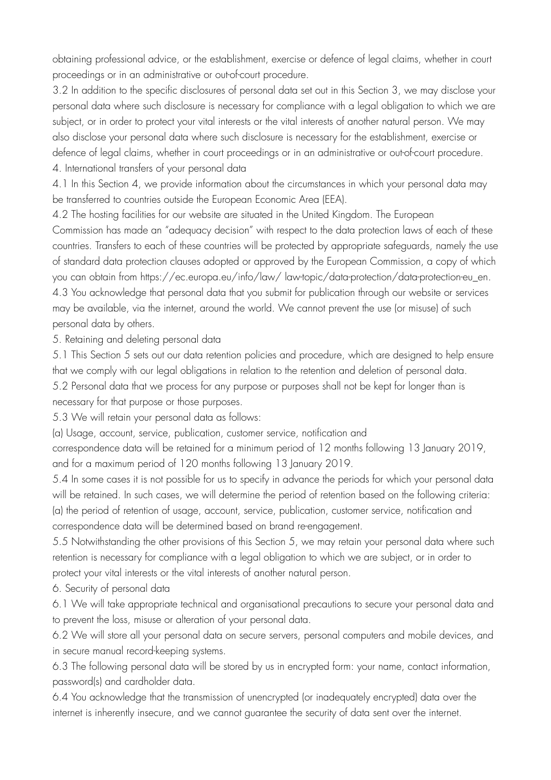obtaining professional advice, or the establishment, exercise or defence of legal claims, whether in court proceedings or in an administrative or out-of-court procedure.

3.2 In addition to the specific disclosures of personal data set out in this Section 3, we may disclose your personal data where such disclosure is necessary for compliance with a legal obligation to which we are subject, or in order to protect your vital interests or the vital interests of another natural person. We may also disclose your personal data where such disclosure is necessary for the establishment, exercise or defence of legal claims, whether in court proceedings or in an administrative or out-of-court procedure. 4. International transfers of your personal data

4.1 In this Section 4, we provide information about the circumstances in which your personal data may be transferred to countries outside the European Economic Area (EEA).

4.2 The hosting facilities for our website are situated in the United Kingdom. The European

Commission has made an "adequacy decision" with respect to the data protection laws of each of these countries. Transfers to each of these countries will be protected by appropriate safeguards, namely the use of standard data protection clauses adopted or approved by the European Commission, a copy of which you can obtain from https://ec.europa.eu/info/law/ law-topic/data-protection/data-protection-eu\_en. 4.3 You acknowledge that personal data that you submit for publication through our website or services may be available, via the internet, around the world. We cannot prevent the use (or misuse) of such personal data by others.

5. Retaining and deleting personal data

5.1 This Section 5 sets out our data retention policies and procedure, which are designed to help ensure that we comply with our legal obligations in relation to the retention and deletion of personal data.

5.2 Personal data that we process for any purpose or purposes shall not be kept for longer than is

necessary for that purpose or those purposes.

5.3 We will retain your personal data as follows:

(a) Usage, account, service, publication, customer service, notification and

correspondence data will be retained for a minimum period of 12 months following 13 January 2019, and for a maximum period of 120 months following 13 January 2019.

5.4 In some cases it is not possible for us to specify in advance the periods for which your personal data will be retained. In such cases, we will determine the period of retention based on the following criteria: (a) the period of retention of usage, account, service, publication, customer service, notification and correspondence data will be determined based on brand re-engagement.

5.5 Notwithstanding the other provisions of this Section 5, we may retain your personal data where such retention is necessary for compliance with a legal obligation to which we are subject, or in order to protect your vital interests or the vital interests of another natural person.

6. Security of personal data

6.1 We will take appropriate technical and organisational precautions to secure your personal data and to prevent the loss, misuse or alteration of your personal data.

6.2 We will store all your personal data on secure servers, personal computers and mobile devices, and in secure manual record-keeping systems.

6.3 The following personal data will be stored by us in encrypted form: your name, contact information, password(s) and cardholder data.

6.4 You acknowledge that the transmission of unencrypted (or inadequately encrypted) data over the internet is inherently insecure, and we cannot guarantee the security of data sent over the internet.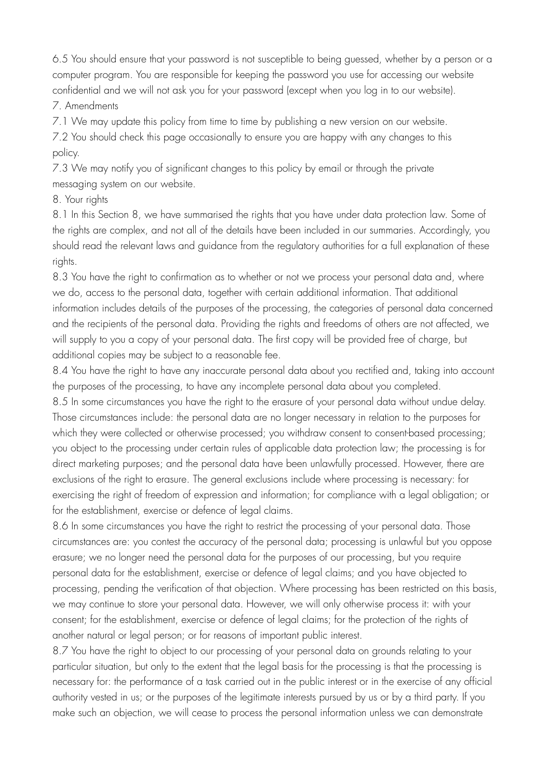6.5 You should ensure that your password is not susceptible to being guessed, whether by a person or a computer program. You are responsible for keeping the password you use for accessing our website confidential and we will not ask you for your password (except when you log in to our website).

## 7. Amendments

7.1 We may update this policy from time to time by publishing a new version on our website.

7.2 You should check this page occasionally to ensure you are happy with any changes to this policy.

7.3 We may notify you of significant changes to this policy by email or through the private messaging system on our website.

8. Your rights

8.1 In this Section 8, we have summarised the rights that you have under data protection law. Some of the rights are complex, and not all of the details have been included in our summaries. Accordingly, you should read the relevant laws and guidance from the regulatory authorities for a full explanation of these rights.

8.3 You have the right to confirmation as to whether or not we process your personal data and, where we do, access to the personal data, together with certain additional information. That additional information includes details of the purposes of the processing, the categories of personal data concerned and the recipients of the personal data. Providing the rights and freedoms of others are not affected, we will supply to you a copy of your personal data. The first copy will be provided free of charge, but additional copies may be subject to a reasonable fee.

8.4 You have the right to have any inaccurate personal data about you rectified and, taking into account the purposes of the processing, to have any incomplete personal data about you completed.

8.5 In some circumstances you have the right to the erasure of your personal data without undue delay. Those circumstances include: the personal data are no longer necessary in relation to the purposes for which they were collected or otherwise processed; you withdraw consent to consent-based processing; you object to the processing under certain rules of applicable data protection law; the processing is for direct marketing purposes; and the personal data have been unlawfully processed. However, there are exclusions of the right to erasure. The general exclusions include where processing is necessary: for exercising the right of freedom of expression and information; for compliance with a legal obligation; or for the establishment, exercise or defence of legal claims.

8.6 In some circumstances you have the right to restrict the processing of your personal data. Those circumstances are: you contest the accuracy of the personal data; processing is unlawful but you oppose erasure; we no longer need the personal data for the purposes of our processing, but you require personal data for the establishment, exercise or defence of legal claims; and you have objected to processing, pending the verification of that objection. Where processing has been restricted on this basis, we may continue to store your personal data. However, we will only otherwise process it: with your consent; for the establishment, exercise or defence of legal claims; for the protection of the rights of another natural or legal person; or for reasons of important public interest.

8.7 You have the right to object to our processing of your personal data on grounds relating to your particular situation, but only to the extent that the legal basis for the processing is that the processing is necessary for: the performance of a task carried out in the public interest or in the exercise of any official authority vested in us; or the purposes of the legitimate interests pursued by us or by a third party. If you make such an objection, we will cease to process the personal information unless we can demonstrate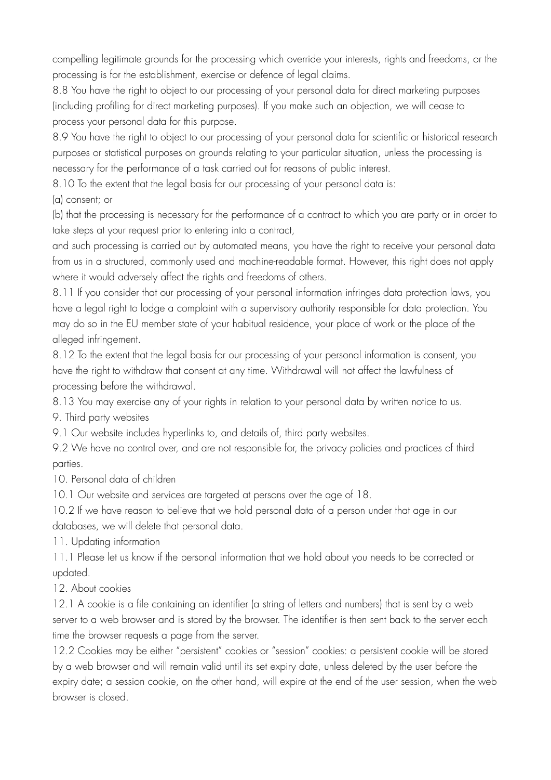compelling legitimate grounds for the processing which override your interests, rights and freedoms, or the processing is for the establishment, exercise or defence of legal claims.

8.8 You have the right to object to our processing of your personal data for direct marketing purposes (including profiling for direct marketing purposes). If you make such an objection, we will cease to process your personal data for this purpose.

8.9 You have the right to object to our processing of your personal data for scientific or historical research purposes or statistical purposes on grounds relating to your particular situation, unless the processing is necessary for the performance of a task carried out for reasons of public interest.

8.10 To the extent that the legal basis for our processing of your personal data is:

(a) consent; or

(b) that the processing is necessary for the performance of a contract to which you are party or in order to take steps at your request prior to entering into a contract,

and such processing is carried out by automated means, you have the right to receive your personal data from us in a structured, commonly used and machine-readable format. However, this right does not apply where it would adversely affect the rights and freedoms of others.

8.11 If you consider that our processing of your personal information infringes data protection laws, you have a legal right to lodge a complaint with a supervisory authority responsible for data protection. You may do so in the EU member state of your habitual residence, your place of work or the place of the alleged infringement.

8.12 To the extent that the legal basis for our processing of your personal information is consent, you have the right to withdraw that consent at any time. Withdrawal will not affect the lawfulness of processing before the withdrawal.

8.13 You may exercise any of your rights in relation to your personal data by written notice to us.

9. Third party websites

9.1 Our website includes hyperlinks to, and details of, third party websites.

9.2 We have no control over, and are not responsible for, the privacy policies and practices of third parties.

10. Personal data of children

10.1 Our website and services are targeted at persons over the age of 18.

10.2 If we have reason to believe that we hold personal data of a person under that age in our databases, we will delete that personal data.

11. Updating information

11.1 Please let us know if the personal information that we hold about you needs to be corrected or updated.

12. About cookies

12.1 A cookie is a file containing an identifier (a string of letters and numbers) that is sent by a web server to a web browser and is stored by the browser. The identifier is then sent back to the server each time the browser requests a page from the server.

12.2 Cookies may be either "persistent" cookies or "session" cookies: a persistent cookie will be stored by a web browser and will remain valid until its set expiry date, unless deleted by the user before the expiry date; a session cookie, on the other hand, will expire at the end of the user session, when the web browser is closed.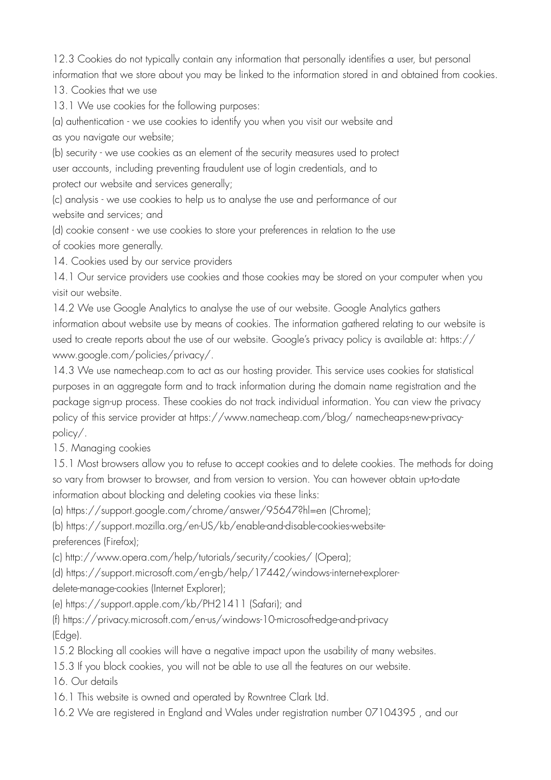12.3 Cookies do not typically contain any information that personally identifies a user, but personal information that we store about you may be linked to the information stored in and obtained from cookies.

13. Cookies that we use

13.1 We use cookies for the following purposes:

(a) authentication - we use cookies to identify you when you visit our website and as you navigate our website;

(b) security - we use cookies as an element of the security measures used to protect user accounts, including preventing fraudulent use of login credentials, and to protect our website and services generally;

(c) analysis - we use cookies to help us to analyse the use and performance of our website and services; and

(d) cookie consent - we use cookies to store your preferences in relation to the use of cookies more generally.

14. Cookies used by our service providers

14.1 Our service providers use cookies and those cookies may be stored on your computer when you visit our website.

14.2 We use Google Analytics to analyse the use of our website. Google Analytics gathers information about website use by means of cookies. The information gathered relating to our website is used to create reports about the use of our website. Google's privacy policy is available at: https:// www.google.com/policies/privacy/.

14.3 We use namecheap.com to act as our hosting provider. This service uses cookies for statistical purposes in an aggregate form and to track information during the domain name registration and the package sign-up process. These cookies do not track individual information. You can view the privacy policy of this service provider at https://www.namecheap.com/blog/ namecheaps-new-privacypolicy/.

15. Managing cookies

15.1 Most browsers allow you to refuse to accept cookies and to delete cookies. The methods for doing so vary from browser to browser, and from version to version. You can however obtain up-to-date information about blocking and deleting cookies via these links:

(a) https://support.google.com/chrome/answer/95647?hl=en (Chrome);

(b) https://support.mozilla.org/en-US/kb/enable-and-disable-cookies-websitepreferences (Firefox);

(c) http://www.opera.com/help/tutorials/security/cookies/ (Opera);

(d) https://support.microsoft.com/en-gb/help/17442/windows-internet-explorerdelete-manage-cookies (Internet Explorer);

(e) https://support.apple.com/kb/PH21411 (Safari); and

(f) https://privacy.microsoft.com/en-us/windows-10-microsoft-edge-and-privacy (Edge).

15.2 Blocking all cookies will have a negative impact upon the usability of many websites.

15.3 If you block cookies, you will not be able to use all the features on our website.

16. Our details

16.1 This website is owned and operated by Rowntree Clark Ltd.

16.2 We are registered in England and Wales under registration number 07104395 , and our